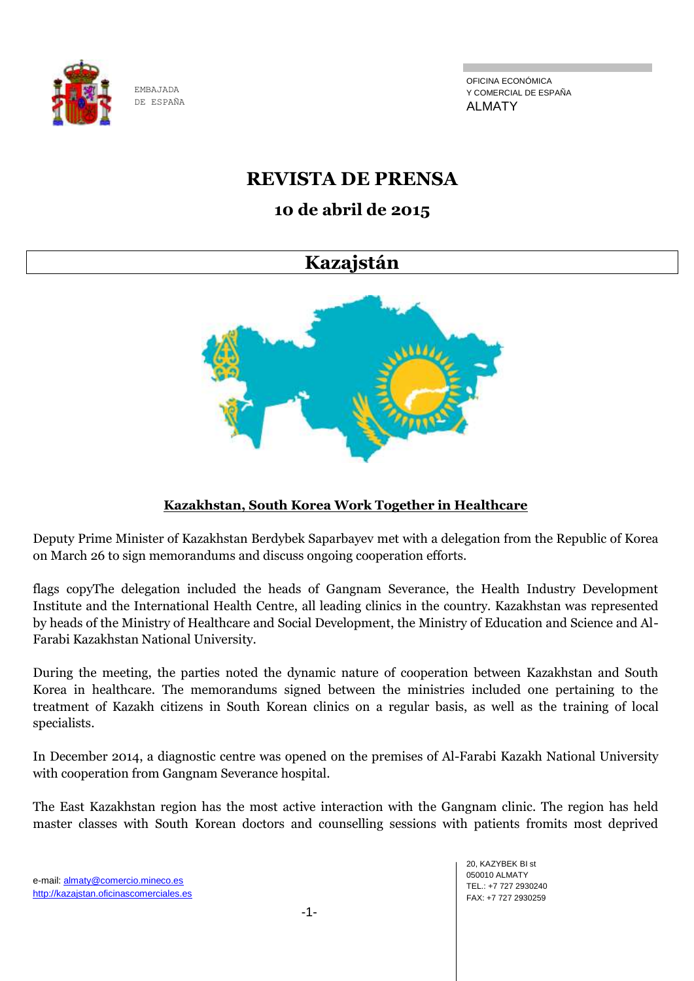

OFICINA ECONÓMICA Y COMERCIAL DE ESPAÑA ALMATY

# **REVISTA DE PRENSA**

# **10 de abril de 2015**

# **Kazajstán**



# **Kazakhstan, South Korea Work Together in Healthcare**

Deputy Prime Minister of Kazakhstan Berdybek Saparbayev met with a delegation from the Republic of Korea on March 26 to sign memorandums and discuss ongoing cooperation efforts.

flags copyThe delegation included the heads of Gangnam Severance, the Health Industry Development Institute and the International Health Centre, all leading clinics in the country. Kazakhstan was represented by heads of the Ministry of Healthcare and Social Development, the Ministry of Education and Science and Al-Farabi Kazakhstan National University.

During the meeting, the parties noted the dynamic nature of cooperation between Kazakhstan and South Korea in healthcare. The memorandums signed between the ministries included one pertaining to the treatment of Kazakh citizens in South Korean clinics on a regular basis, as well as the training of local specialists.

In December 2014, a diagnostic centre was opened on the premises of Al-Farabi Kazakh National University with cooperation from Gangnam Severance hospital.

The East Kazakhstan region has the most active interaction with the Gangnam clinic. The region has held master classes with South Korean doctors and counselling sessions with patients fromits most deprived

-1-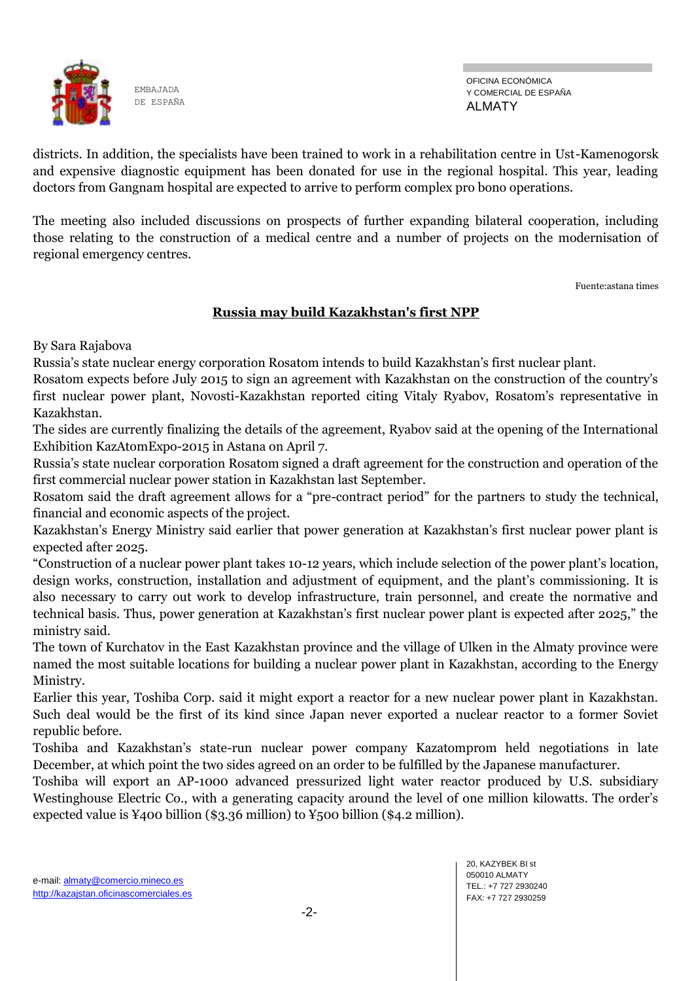

OFICINA ECONÓMICA Y COMERCIAL DE ESPAÑA ALMATY

districts. In addition, the specialists have been trained to work in a rehabilitation centre in Ust-Kamenogorsk and expensive diagnostic equipment has been donated for use in the regional hospital. This year, leading doctors from Gangnam hospital are expected to arrive to perform complex pro bono operations.

The meeting also included discussions on prospects of further expanding bilateral cooperation, including those relating to the construction of a medical centre and a number of projects on the modernisation of regional emergency centres.

Fuente:astana times

# **Russia may build Kazakhstan's first NPP**

By Sara Rajabova

Russia's state nuclear energy corporation Rosatom intends to build Kazakhstan's first nuclear plant.

Rosatom expects before July 2015 to sign an agreement with Kazakhstan on the construction of the country's first nuclear power plant, Novosti-Kazakhstan reported citing Vitaly Ryabov, Rosatom's representative in Kazakhstan.

The sides are currently finalizing the details of the agreement, Ryabov said at the opening of the International Exhibition KazAtomExpo-2015 in Astana on April 7.

Russia's state nuclear corporation Rosatom signed a draft agreement for the construction and operation of the first commercial nuclear power station in Kazakhstan last September.

Rosatom said the draft agreement allows for a "pre-contract period" for the partners to study the technical, financial and economic aspects of the project.

Kazakhstan's Energy Ministry said earlier that power generation at Kazakhstan's first nuclear power plant is expected after 2025.

"Construction of a nuclear power plant takes 10-12 years, which include selection of the power plant's location, design works, construction, installation and adjustment of equipment, and the plant's commissioning. It is also necessary to carry out work to develop infrastructure, train personnel, and create the normative and technical basis. Thus, power generation at Kazakhstan's first nuclear power plant is expected after 2025," the ministry said.

The town of Kurchatov in the East Kazakhstan province and the village of Ulken in the Almaty province were named the most suitable locations for building a nuclear power plant in Kazakhstan, according to the Energy Ministry.

Earlier this year, Toshiba Corp. said it might export a reactor for a new nuclear power plant in Kazakhstan. Such deal would be the first of its kind since Japan never exported a nuclear reactor to a former Soviet republic before.

Toshiba and Kazakhstan's state-run nuclear power company Kazatomprom held negotiations in late December, at which point the two sides agreed on an order to be fulfilled by the Japanese manufacturer.

Toshiba will export an AP-1000 advanced pressurized light water reactor produced by U.S. subsidiary Westinghouse Electric Co., with a generating capacity around the level of one million kilowatts. The order's expected value is ¥400 billion (\$3.36 million) to ¥500 billion (\$4.2 million).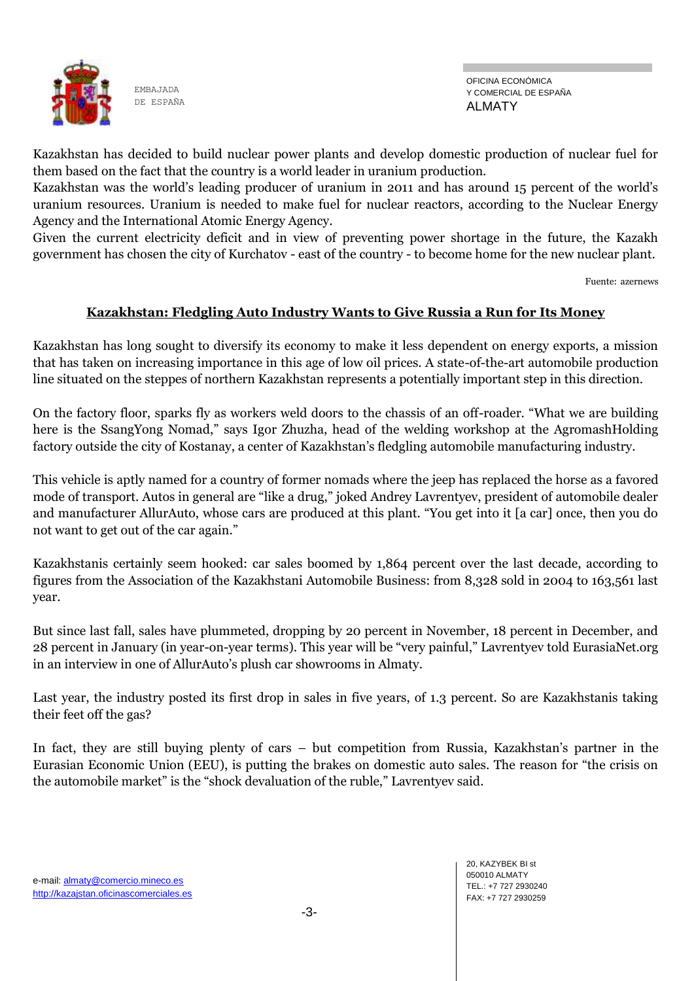

Kazakhstan has decided to build nuclear power plants and develop domestic production of nuclear fuel for them based on the fact that the country is a world leader in uranium production.

Kazakhstan was the world's leading producer of uranium in 2011 and has around 15 percent of the world's uranium resources. Uranium is needed to make fuel for nuclear reactors, according to the Nuclear Energy Agency and the International Atomic Energy Agency.

Given the current electricity deficit and in view of preventing power shortage in the future, the Kazakh government has chosen the city of Kurchatov - east of the country - to become home for the new nuclear plant.

Fuente: azernews

### **Kazakhstan: Fledgling Auto Industry Wants to Give Russia a Run for Its Money**

Kazakhstan has long sought to diversify its economy to make it less dependent on energy exports, a mission that has taken on increasing importance in this age of low oil prices. A state-of-the-art automobile production line situated on the steppes of northern Kazakhstan represents a potentially important step in this direction.

On the factory floor, sparks fly as workers weld doors to the chassis of an off-roader. "What we are building here is the SsangYong Nomad," says Igor Zhuzha, head of the welding workshop at the AgromashHolding factory outside the city of Kostanay, a center of Kazakhstan's fledgling automobile manufacturing industry.

This vehicle is aptly named for a country of former nomads where the jeep has replaced the horse as a favored mode of transport. Autos in general are "like a drug," joked Andrey Lavrentyev, president of automobile dealer and manufacturer AllurAuto, whose cars are produced at this plant. "You get into it [a car] once, then you do not want to get out of the car again."

Kazakhstanis certainly seem hooked: car sales boomed by 1,864 percent over the last decade, according to figures from the Association of the Kazakhstani Automobile Business: from 8,328 sold in 2004 to 163,561 last year.

But since last fall, sales have plummeted, dropping by 20 percent in November, 18 percent in December, and 28 percent in January (in year-on-year terms). This year will be "very painful," Lavrentyev told EurasiaNet.org in an interview in one of AllurAuto's plush car showrooms in Almaty.

Last year, the industry posted its first drop in sales in five years, of 1.3 percent. So are Kazakhstanis taking their feet off the gas?

In fact, they are still buying plenty of cars – but competition from Russia, Kazakhstan's partner in the Eurasian Economic Union (EEU), is putting the brakes on domestic auto sales. The reason for "the crisis on the automobile market" is the "shock devaluation of the ruble," Lavrentyev said.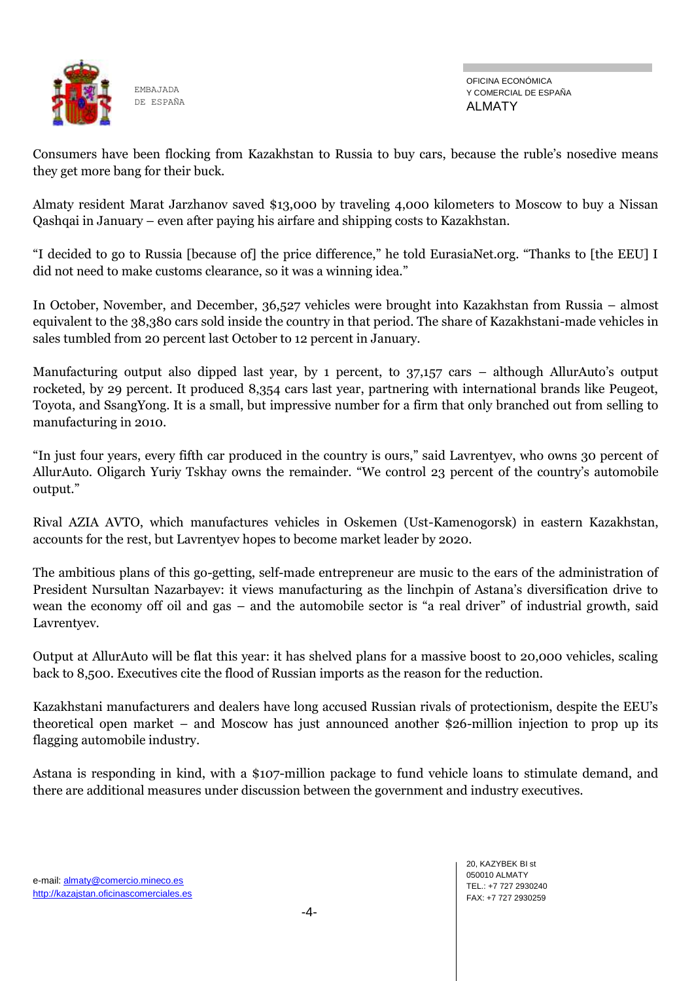

OFICINA ECONÓMICA Y COMERCIAL DE ESPAÑA ALMATY

Consumers have been flocking from Kazakhstan to Russia to buy cars, because the ruble's nosedive means they get more bang for their buck.

Almaty resident Marat Jarzhanov saved \$13,000 by traveling 4,000 kilometers to Moscow to buy a Nissan Qashqai in January – even after paying his airfare and shipping costs to Kazakhstan.

"I decided to go to Russia [because of] the price difference," he told EurasiaNet.org. "Thanks to [the EEU] I did not need to make customs clearance, so it was a winning idea."

In October, November, and December, 36,527 vehicles were brought into Kazakhstan from Russia – almost equivalent to the 38,380 cars sold inside the country in that period. The share of Kazakhstani-made vehicles in sales tumbled from 20 percent last October to 12 percent in January.

Manufacturing output also dipped last year, by 1 percent, to 37,157 cars – although AllurAuto's output rocketed, by 29 percent. It produced 8,354 cars last year, partnering with international brands like Peugeot, Toyota, and SsangYong. It is a small, but impressive number for a firm that only branched out from selling to manufacturing in 2010.

"In just four years, every fifth car produced in the country is ours," said Lavrentyev, who owns 30 percent of AllurAuto. Oligarch Yuriy Tskhay owns the remainder. "We control 23 percent of the country's automobile output."

Rival AZIA AVTO, which manufactures vehicles in Oskemen (Ust-Kamenogorsk) in eastern Kazakhstan, accounts for the rest, but Lavrentyev hopes to become market leader by 2020.

The ambitious plans of this go-getting, self-made entrepreneur are music to the ears of the administration of President Nursultan Nazarbayev: it views manufacturing as the linchpin of Astana's diversification drive to wean the economy off oil and gas – and the automobile sector is "a real driver" of industrial growth, said Lavrentyev.

Output at AllurAuto will be flat this year: it has shelved plans for a massive boost to 20,000 vehicles, scaling back to 8,500. Executives cite the flood of Russian imports as the reason for the reduction.

Kazakhstani manufacturers and dealers have long accused Russian rivals of protectionism, despite the EEU's theoretical open market – and Moscow has just announced another \$26-million injection to prop up its flagging automobile industry.

Astana is responding in kind, with a \$107-million package to fund vehicle loans to stimulate demand, and there are additional measures under discussion between the government and industry executives.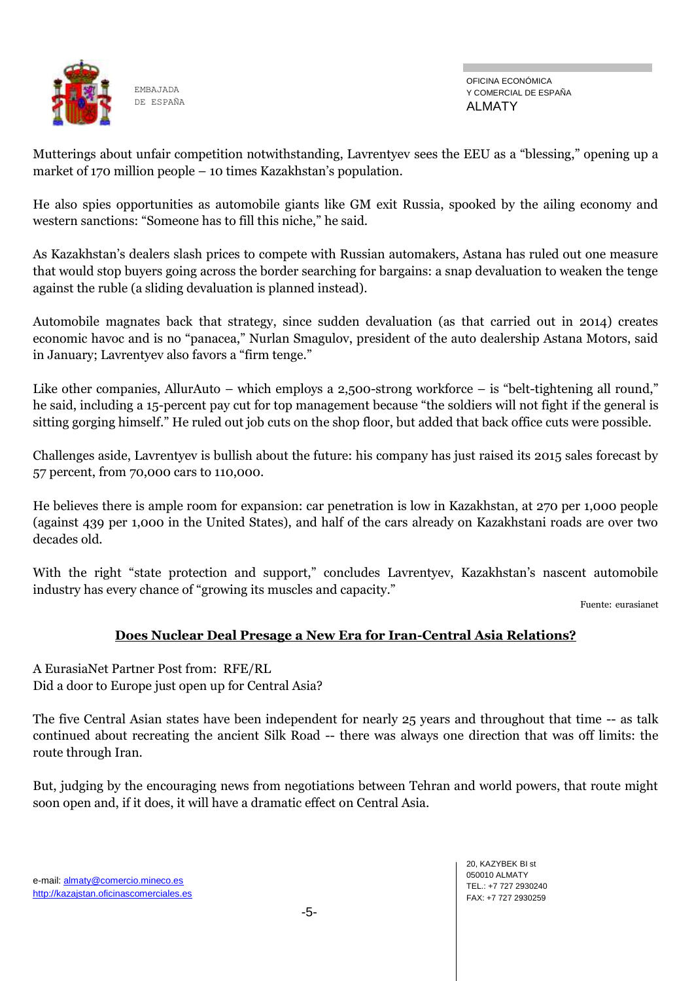

OFICINA ECONÓMICA Y COMERCIAL DE ESPAÑA ALMATY

Mutterings about unfair competition notwithstanding, Lavrentyev sees the EEU as a "blessing," opening up a market of 170 million people – 10 times Kazakhstan's population.

He also spies opportunities as automobile giants like GM exit Russia, spooked by the ailing economy and western sanctions: "Someone has to fill this niche," he said.

As Kazakhstan's dealers slash prices to compete with Russian automakers, Astana has ruled out one measure that would stop buyers going across the border searching for bargains: a snap devaluation to weaken the tenge against the ruble (a sliding devaluation is planned instead).

Automobile magnates back that strategy, since sudden devaluation (as that carried out in 2014) creates economic havoc and is no "panacea," Nurlan Smagulov, president of the auto dealership Astana Motors, said in January; Lavrentyev also favors a "firm tenge."

Like other companies, AllurAuto – which employs a 2,500-strong workforce – is "belt-tightening all round," he said, including a 15-percent pay cut for top management because "the soldiers will not fight if the general is sitting gorging himself." He ruled out job cuts on the shop floor, but added that back office cuts were possible.

Challenges aside, Lavrentyev is bullish about the future: his company has just raised its 2015 sales forecast by 57 percent, from 70,000 cars to 110,000.

He believes there is ample room for expansion: car penetration is low in Kazakhstan, at 270 per 1,000 people (against 439 per 1,000 in the United States), and half of the cars already on Kazakhstani roads are over two decades old.

With the right "state protection and support," concludes Lavrentyev, Kazakhstan's nascent automobile industry has every chance of "growing its muscles and capacity."

Fuente: eurasianet

# **Does Nuclear Deal Presage a New Era for Iran-Central Asia Relations?**

A EurasiaNet Partner Post from: RFE/RL Did a door to Europe just open up for Central Asia?

The five Central Asian states have been independent for nearly 25 years and throughout that time -- as talk continued about recreating the ancient Silk Road -- there was always one direction that was off limits: the route through Iran.

But, judging by the encouraging news from negotiations between Tehran and world powers, that route might soon open and, if it does, it will have a dramatic effect on Central Asia.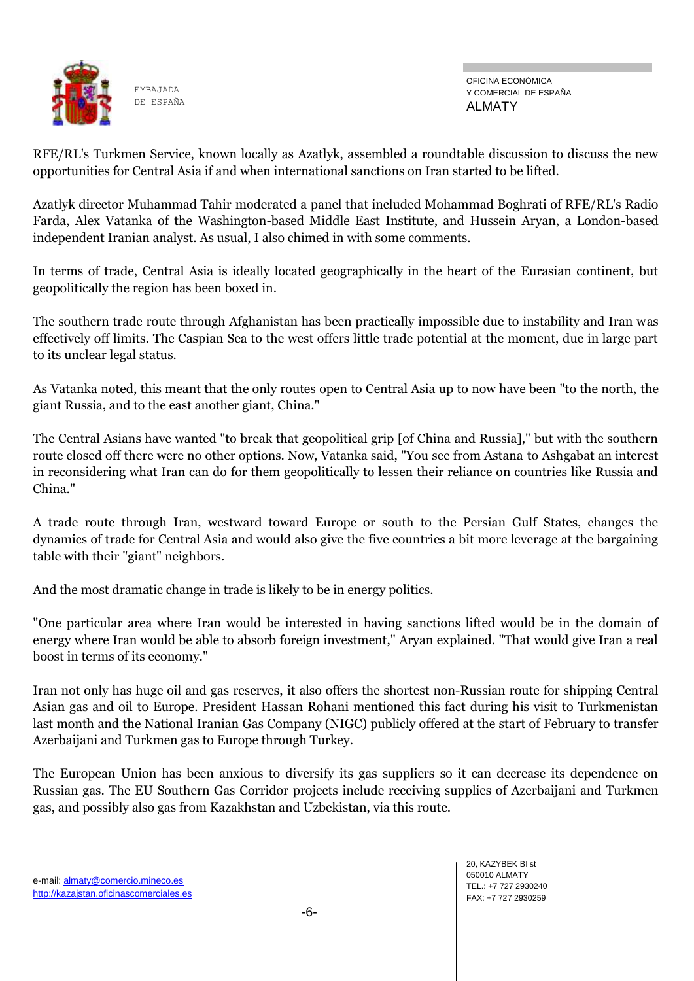

OFICINA ECONÓMICA Y COMERCIAL DE ESPAÑA ALMATY

RFE/RL's Turkmen Service, known locally as Azatlyk, assembled a roundtable discussion to discuss the new opportunities for Central Asia if and when international sanctions on Iran started to be lifted.

Azatlyk director Muhammad Tahir moderated a panel that included Mohammad Boghrati of RFE/RL's Radio Farda, Alex Vatanka of the Washington-based Middle East Institute, and Hussein Aryan, a London-based independent Iranian analyst. As usual, I also chimed in with some comments.

In terms of trade, Central Asia is ideally located geographically in the heart of the Eurasian continent, but geopolitically the region has been boxed in.

The southern trade route through Afghanistan has been practically impossible due to instability and Iran was effectively off limits. The Caspian Sea to the west offers little trade potential at the moment, due in large part to its unclear legal status.

As Vatanka noted, this meant that the only routes open to Central Asia up to now have been "to the north, the giant Russia, and to the east another giant, China."

The Central Asians have wanted "to break that geopolitical grip [of China and Russia]," but with the southern route closed off there were no other options. Now, Vatanka said, "You see from Astana to Ashgabat an interest in reconsidering what Iran can do for them geopolitically to lessen their reliance on countries like Russia and China."

A trade route through Iran, westward toward Europe or south to the Persian Gulf States, changes the dynamics of trade for Central Asia and would also give the five countries a bit more leverage at the bargaining table with their "giant" neighbors.

And the most dramatic change in trade is likely to be in energy politics.

"One particular area where Iran would be interested in having sanctions lifted would be in the domain of energy where Iran would be able to absorb foreign investment," Aryan explained. "That would give Iran a real boost in terms of its economy."

Iran not only has huge oil and gas reserves, it also offers the shortest non-Russian route for shipping Central Asian gas and oil to Europe. President Hassan Rohani mentioned this fact during his visit to Turkmenistan last month and the National Iranian Gas Company (NIGC) publicly offered at the start of February to transfer Azerbaijani and Turkmen gas to Europe through Turkey.

The European Union has been anxious to diversify its gas suppliers so it can decrease its dependence on Russian gas. The EU Southern Gas Corridor projects include receiving supplies of Azerbaijani and Turkmen gas, and possibly also gas from Kazakhstan and Uzbekistan, via this route.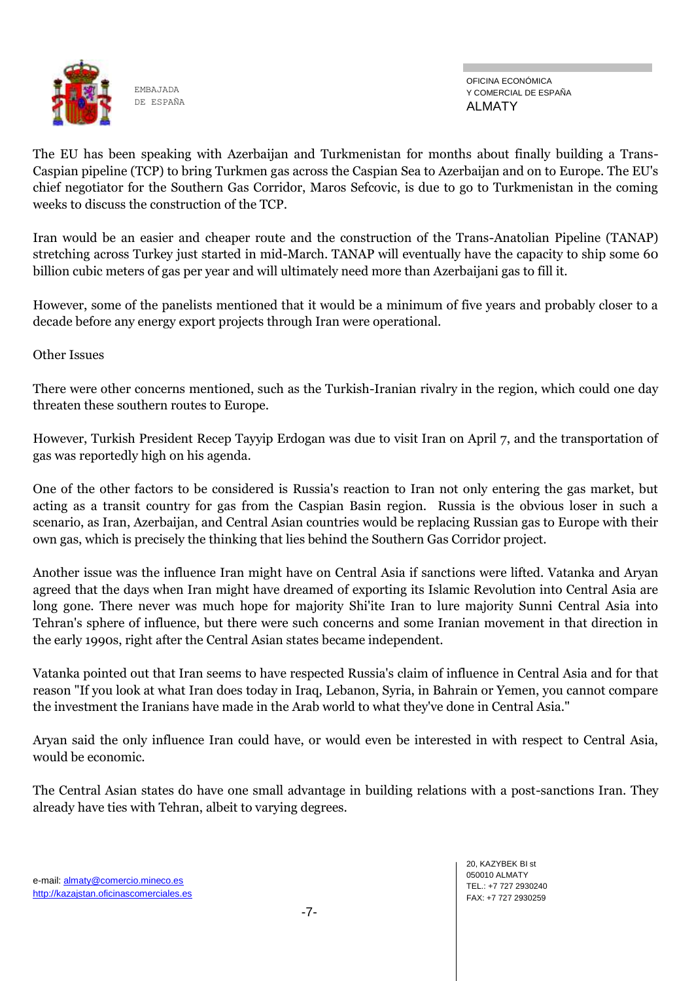

OFICINA ECONÓMICA Y COMERCIAL DE ESPAÑA ALMATY

The EU has been speaking with Azerbaijan and Turkmenistan for months about finally building a Trans-Caspian pipeline (TCP) to bring Turkmen gas across the Caspian Sea to Azerbaijan and on to Europe. The EU's chief negotiator for the Southern Gas Corridor, Maros Sefcovic, is due to go to Turkmenistan in the coming weeks to discuss the construction of the TCP.

Iran would be an easier and cheaper route and the construction of the Trans-Anatolian Pipeline (TANAP) stretching across Turkey just started in mid-March. TANAP will eventually have the capacity to ship some 60 billion cubic meters of gas per year and will ultimately need more than Azerbaijani gas to fill it.

However, some of the panelists mentioned that it would be a minimum of five years and probably closer to a decade before any energy export projects through Iran were operational.

Other Issues

There were other concerns mentioned, such as the Turkish-Iranian rivalry in the region, which could one day threaten these southern routes to Europe.

However, Turkish President Recep Tayyip Erdogan was due to visit Iran on April 7, and the transportation of gas was reportedly high on his agenda.

One of the other factors to be considered is Russia's reaction to Iran not only entering the gas market, but acting as a transit country for gas from the Caspian Basin region. Russia is the obvious loser in such a scenario, as Iran, Azerbaijan, and Central Asian countries would be replacing Russian gas to Europe with their own gas, which is precisely the thinking that lies behind the Southern Gas Corridor project.

Another issue was the influence Iran might have on Central Asia if sanctions were lifted. Vatanka and Aryan agreed that the days when Iran might have dreamed of exporting its Islamic Revolution into Central Asia are long gone. There never was much hope for majority Shi'ite Iran to lure majority Sunni Central Asia into Tehran's sphere of influence, but there were such concerns and some Iranian movement in that direction in the early 1990s, right after the Central Asian states became independent.

Vatanka pointed out that Iran seems to have respected Russia's claim of influence in Central Asia and for that reason "If you look at what Iran does today in Iraq, Lebanon, Syria, in Bahrain or Yemen, you cannot compare the investment the Iranians have made in the Arab world to what they've done in Central Asia."

Aryan said the only influence Iran could have, or would even be interested in with respect to Central Asia, would be economic.

The Central Asian states do have one small advantage in building relations with a post-sanctions Iran. They already have ties with Tehran, albeit to varying degrees.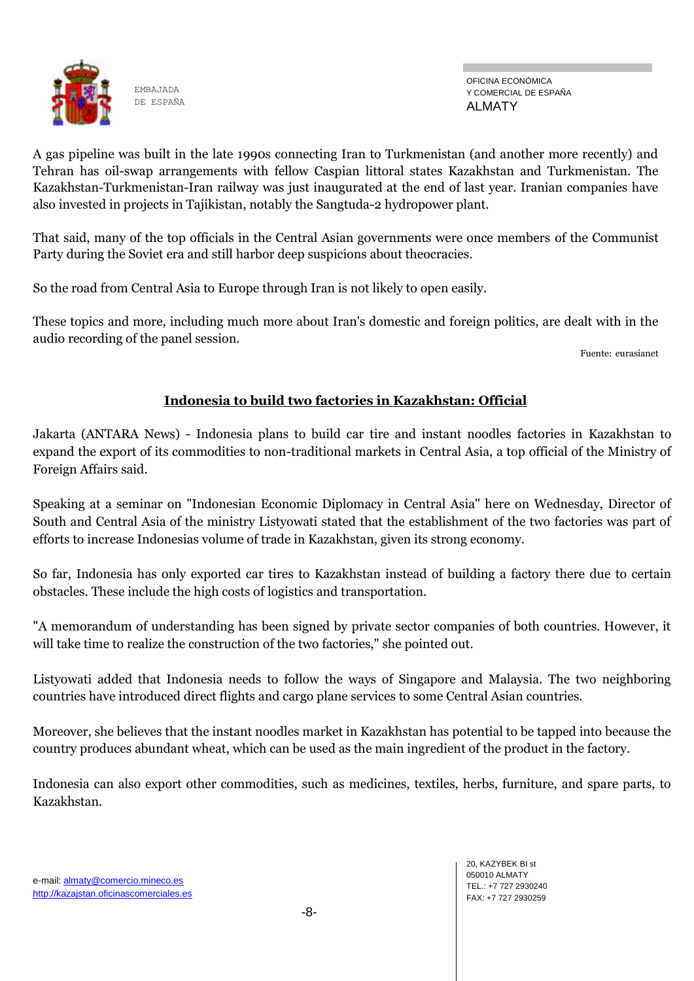

OFICINA ECONÓMICA Y COMERCIAL DE ESPAÑA ALMATY

A gas pipeline was built in the late 1990s connecting Iran to Turkmenistan (and another more recently) and Tehran has oil-swap arrangements with fellow Caspian littoral states Kazakhstan and Turkmenistan. The Kazakhstan-Turkmenistan-Iran railway was just inaugurated at the end of last year. Iranian companies have also invested in projects in Tajikistan, notably the Sangtuda-2 hydropower plant.

That said, many of the top officials in the Central Asian governments were once members of the Communist Party during the Soviet era and still harbor deep suspicions about theocracies.

So the road from Central Asia to Europe through Iran is not likely to open easily.

These topics and more, including much more about Iran's domestic and foreign politics, are dealt with in the audio recording of the panel session.

Fuente: eurasianet

# **Indonesia to build two factories in Kazakhstan: Official**

Jakarta (ANTARA News) - Indonesia plans to build car tire and instant noodles factories in Kazakhstan to expand the export of its commodities to non-traditional markets in Central Asia, a top official of the Ministry of Foreign Affairs said.

Speaking at a seminar on "Indonesian Economic Diplomacy in Central Asia" here on Wednesday, Director of South and Central Asia of the ministry Listyowati stated that the establishment of the two factories was part of efforts to increase Indonesias volume of trade in Kazakhstan, given its strong economy.

So far, Indonesia has only exported car tires to Kazakhstan instead of building a factory there due to certain obstacles. These include the high costs of logistics and transportation.

"A memorandum of understanding has been signed by private sector companies of both countries. However, it will take time to realize the construction of the two factories," she pointed out.

Listyowati added that Indonesia needs to follow the ways of Singapore and Malaysia. The two neighboring countries have introduced direct flights and cargo plane services to some Central Asian countries.

Moreover, she believes that the instant noodles market in Kazakhstan has potential to be tapped into because the country produces abundant wheat, which can be used as the main ingredient of the product in the factory.

Indonesia can also export other commodities, such as medicines, textiles, herbs, furniture, and spare parts, to Kazakhstan.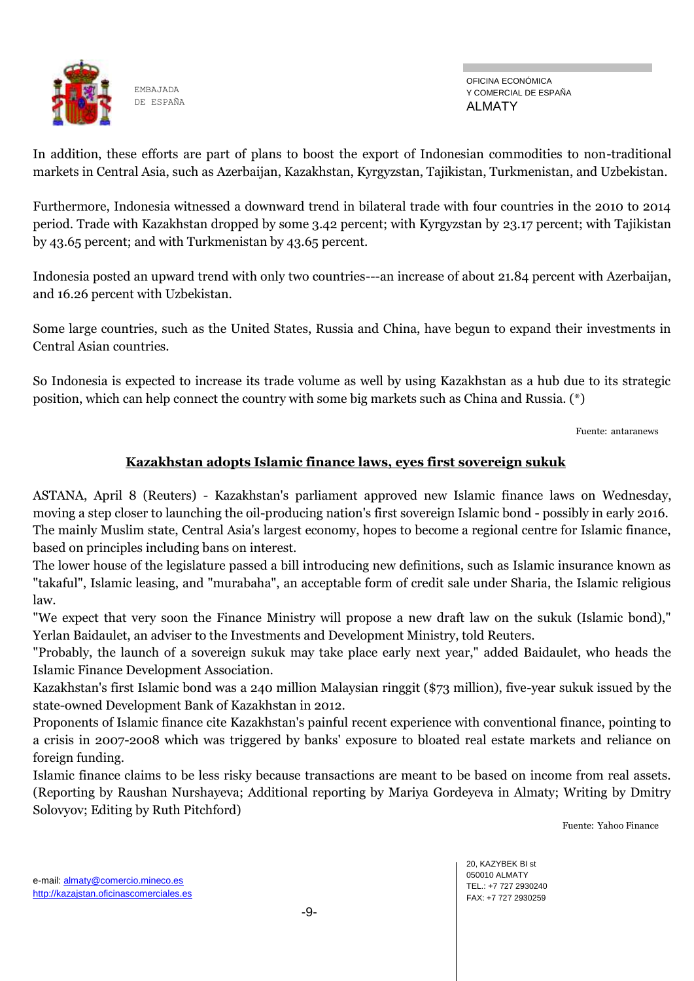

In addition, these efforts are part of plans to boost the export of Indonesian commodities to non-traditional markets in Central Asia, such as Azerbaijan, Kazakhstan, Kyrgyzstan, Tajikistan, Turkmenistan, and Uzbekistan.

Furthermore, Indonesia witnessed a downward trend in bilateral trade with four countries in the 2010 to 2014 period. Trade with Kazakhstan dropped by some 3.42 percent; with Kyrgyzstan by 23.17 percent; with Tajikistan by 43.65 percent; and with Turkmenistan by 43.65 percent.

Indonesia posted an upward trend with only two countries---an increase of about 21.84 percent with Azerbaijan, and 16.26 percent with Uzbekistan.

Some large countries, such as the United States, Russia and China, have begun to expand their investments in Central Asian countries.

So Indonesia is expected to increase its trade volume as well by using Kazakhstan as a hub due to its strategic position, which can help connect the country with some big markets such as China and Russia. (\*)

Fuente: antaranews

### **Kazakhstan adopts Islamic finance laws, eyes first sovereign sukuk**

ASTANA, April 8 (Reuters) - Kazakhstan's parliament approved new Islamic finance laws on Wednesday, moving a step closer to launching the oil-producing nation's first sovereign Islamic bond - possibly in early 2016. The mainly Muslim state, Central Asia's largest economy, hopes to become a regional centre for Islamic finance, based on principles including bans on interest.

The lower house of the legislature passed a bill introducing new definitions, such as Islamic insurance known as "takaful", Islamic leasing, and "murabaha", an acceptable form of credit sale under Sharia, the Islamic religious law.

"We expect that very soon the Finance Ministry will propose a new draft law on the sukuk (Islamic bond)," Yerlan Baidaulet, an adviser to the Investments and Development Ministry, told Reuters.

"Probably, the launch of a sovereign sukuk may take place early next year," added Baidaulet, who heads the Islamic Finance Development Association.

Kazakhstan's first Islamic bond was a 240 million Malaysian ringgit (\$73 million), five-year sukuk issued by the state-owned Development Bank of Kazakhstan in 2012.

Proponents of Islamic finance cite Kazakhstan's painful recent experience with conventional finance, pointing to a crisis in 2007-2008 which was triggered by banks' exposure to bloated real estate markets and reliance on foreign funding.

Islamic finance claims to be less risky because transactions are meant to be based on income from real assets. (Reporting by Raushan Nurshayeva; Additional reporting by Mariya Gordeyeva in Almaty; Writing by Dmitry Solovyov; Editing by Ruth Pitchford)

Fuente: Yahoo Finance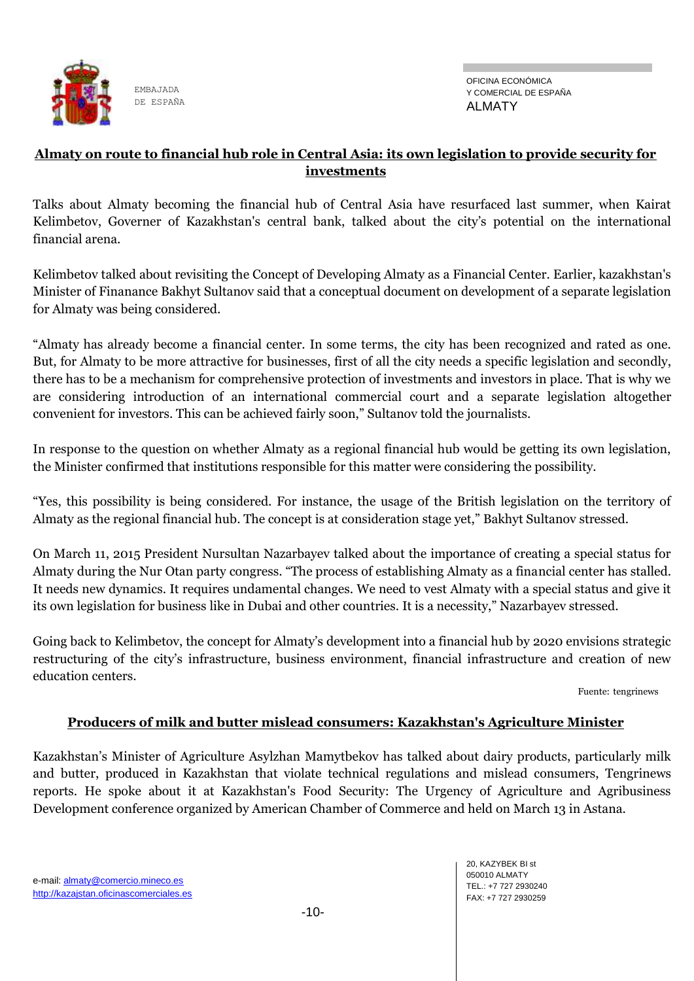

## **Almaty on route to financial hub role in Central Asia: its own legislation to provide security for investments**

Talks about Almaty becoming the financial hub of Central Asia have resurfaced last summer, when Kairat Kelimbetov, Governer of Kazakhstan's central bank, talked about the city's potential on the international financial arena.

Kelimbetov talked about revisiting the Concept of Developing Almaty as a Financial Center. Earlier, kazakhstan's Minister of Finanance Bakhyt Sultanov said that a conceptual document on development of a separate legislation for Almaty was being considered.

"Almaty has already become a financial center. In some terms, the city has been recognized and rated as one. But, for Almaty to be more attractive for businesses, first of all the city needs a specific legislation and secondly, there has to be a mechanism for comprehensive protection of investments and investors in place. That is why we are considering introduction of an international commercial court and a separate legislation altogether convenient for investors. This can be achieved fairly soon," Sultanov told the journalists.

In response to the question on whether Almaty as a regional financial hub would be getting its own legislation, the Minister confirmed that institutions responsible for this matter were considering the possibility.

"Yes, this possibility is being considered. For instance, the usage of the British legislation on the territory of Almaty as the regional financial hub. The concept is at consideration stage yet," Bakhyt Sultanov stressed.

On March 11, 2015 President Nursultan Nazarbayev talked about the importance of creating a special status for Almaty during the Nur Otan party congress. "The process of establishing Almaty as a financial center has stalled. It needs new dynamics. It requires undamental changes. We need to vest Almaty with a special status and give it its own legislation for business like in Dubai and other countries. It is a necessity," Nazarbayev stressed.

Going back to Kelimbetov, the concept for Almaty's development into a financial hub by 2020 envisions strategic restructuring of the city's infrastructure, business environment, financial infrastructure and creation of new education centers.

Fuente: tengrinews

# **Producers of milk and butter mislead consumers: Kazakhstan's Agriculture Minister**

Kazakhstan's Minister of Agriculture Asylzhan Mamytbekov has talked about dairy products, particularly milk and butter, produced in Kazakhstan that violate technical regulations and mislead consumers, Tengrinews reports. He spoke about it at Kazakhstan's Food Security: The Urgency of Agriculture and Agribusiness Development conference organized by American Chamber of Commerce and held on March 13 in Astana.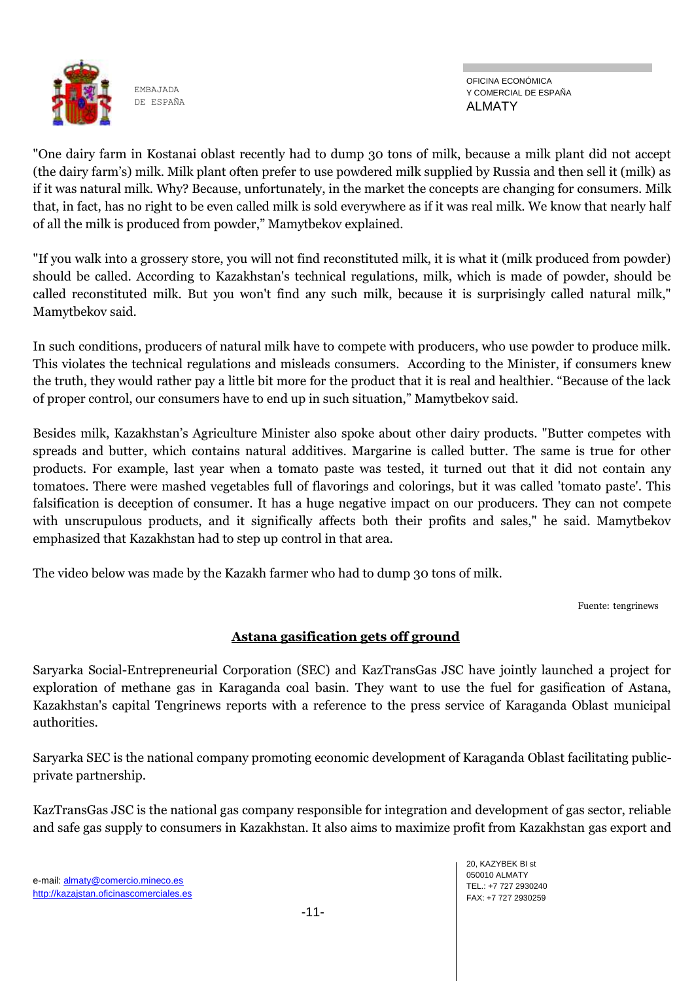

OFICINA ECONÓMICA Y COMERCIAL DE ESPAÑA ALMATY

"One dairy farm in Kostanai oblast recently had to dump 30 tons of milk, because a milk plant did not accept (the dairy farm's) milk. Milk plant often prefer to use powdered milk supplied by Russia and then sell it (milk) as if it was natural milk. Why? Because, unfortunately, in the market the concepts are changing for consumers. Milk that, in fact, has no right to be even called milk is sold everywhere as if it was real milk. We know that nearly half of all the milk is produced from powder," Mamytbekov explained.

"If you walk into a grossery store, you will not find reconstituted milk, it is what it (milk produced from powder) should be called. According to Kazakhstan's technical regulations, milk, which is made of powder, should be called reconstituted milk. But you won't find any such milk, because it is surprisingly called natural milk," Mamytbekov said.

In such conditions, producers of natural milk have to compete with producers, who use powder to produce milk. This violates the technical regulations and misleads consumers. According to the Minister, if consumers knew the truth, they would rather pay a little bit more for the product that it is real and healthier. "Because of the lack of proper control, our consumers have to end up in such situation," Mamytbekov said.

Besides milk, Kazakhstan's Agriculture Minister also spoke about other dairy products. "Butter competes with spreads and butter, which contains natural additives. Margarine is called butter. The same is true for other products. For example, last year when a tomato paste was tested, it turned out that it did not contain any tomatoes. There were mashed vegetables full of flavorings and colorings, but it was called 'tomato paste'. This falsification is deception of consumer. It has a huge negative impact on our producers. They can not compete with unscrupulous products, and it significally affects both their profits and sales," he said. Mamytbekov emphasized that Kazakhstan had to step up control in that area.

The video below was made by the Kazakh farmer who had to dump 30 tons of milk.

Fuente: tengrinews

# **Astana gasification gets off ground**

Saryarka Social-Entrepreneurial Corporation (SEC) and KazTransGas JSC have jointly launched a project for exploration of methane gas in Karaganda coal basin. They want to use the fuel for gasification of Astana, Kazakhstan's capital Tengrinews reports with a reference to the press service of Karaganda Oblast municipal authorities.

Saryarka SEC is the national company promoting economic development of Karaganda Oblast facilitating publicprivate partnership.

KazTransGas JSC is the national gas company responsible for integration and development of gas sector, reliable and safe gas supply to consumers in Kazakhstan. It also aims to maximize profit from Kazakhstan gas export and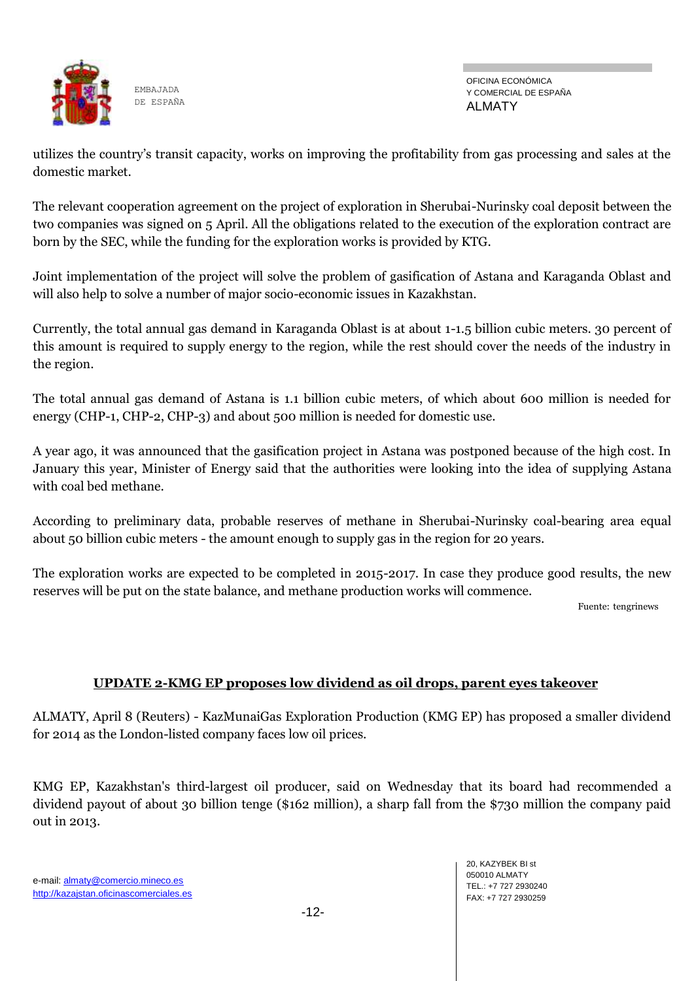

OFICINA ECONÓMICA Y COMERCIAL DE ESPAÑA ALMATY

utilizes the country's transit capacity, works on improving the profitability from gas processing and sales at the domestic market.

The relevant cooperation agreement on the project of exploration in Sherubai-Nurinsky coal deposit between the two companies was signed on 5 April. All the obligations related to the execution of the exploration contract are born by the SEC, while the funding for the exploration works is provided by KTG.

Joint implementation of the project will solve the problem of gasification of Astana and Karaganda Oblast and will also help to solve a number of major socio-economic issues in Kazakhstan.

Currently, the total annual gas demand in Karaganda Oblast is at about 1-1.5 billion cubic meters. 30 percent of this amount is required to supply energy to the region, while the rest should cover the needs of the industry in the region.

The total annual gas demand of Astana is 1.1 billion cubic meters, of which about 600 million is needed for energy (CHP-1, CHP-2, CHP-3) and about 500 million is needed for domestic use.

A year ago, it was announced that the gasification project in Astana was postponed because of the high cost. In January this year, Minister of Energy said that the authorities were looking into the idea of supplying Astana with coal bed methane.

According to preliminary data, probable reserves of methane in Sherubai-Nurinsky coal-bearing area equal about 50 billion cubic meters - the amount enough to supply gas in the region for 20 years.

The exploration works are expected to be completed in 2015-2017. In case they produce good results, the new reserves will be put on the state balance, and methane production works will commence.

Fuente: tengrinews

### **UPDATE 2-KMG EP proposes low dividend as oil drops, parent eyes takeover**

ALMATY, April 8 (Reuters) - KazMunaiGas Exploration Production (KMG EP) has proposed a smaller dividend for 2014 as the London-listed company faces low oil prices.

KMG EP, Kazakhstan's third-largest oil producer, said on Wednesday that its board had recommended a dividend payout of about 30 billion tenge (\$162 million), a sharp fall from the \$730 million the company paid out in 2013.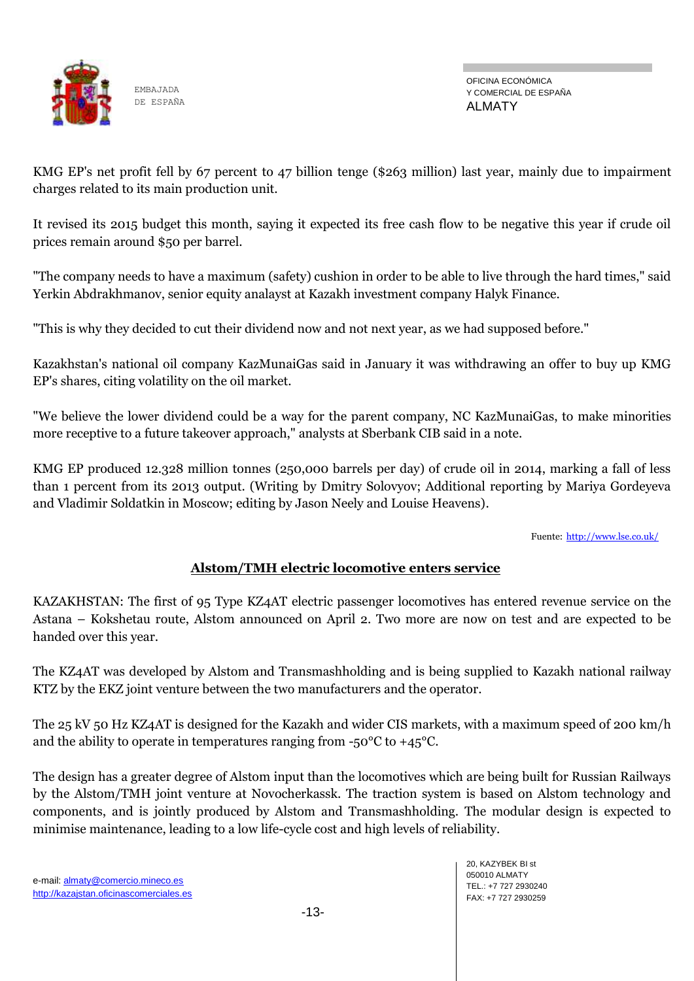

OFICINA ECONÓMICA Y COMERCIAL DE ESPAÑA ALMATY

KMG EP's net profit fell by 67 percent to 47 billion tenge (\$263 million) last year, mainly due to impairment charges related to its main production unit.

It revised its 2015 budget this month, saying it expected its free cash flow to be negative this year if crude oil prices remain around \$50 per barrel.

"The company needs to have a maximum (safety) cushion in order to be able to live through the hard times," said Yerkin Abdrakhmanov, senior equity analayst at Kazakh investment company Halyk Finance.

"This is why they decided to cut their dividend now and not next year, as we had supposed before."

Kazakhstan's national oil company KazMunaiGas said in January it was withdrawing an offer to buy up KMG EP's shares, citing volatility on the oil market.

"We believe the lower dividend could be a way for the parent company, NC KazMunaiGas, to make minorities more receptive to a future takeover approach," analysts at Sberbank CIB said in a note.

KMG EP produced 12.328 million tonnes (250,000 barrels per day) of crude oil in 2014, marking a fall of less than 1 percent from its 2013 output. (Writing by Dmitry Solovyov; Additional reporting by Mariya Gordeyeva and Vladimir Soldatkin in Moscow; editing by Jason Neely and Louise Heavens).

Fuente: <http://www.lse.co.uk/>

# **Alstom/TMH electric locomotive enters service**

KAZAKHSTAN: The first of 95 Type KZ4AT electric passenger locomotives has entered revenue service on the Astana – Kokshetau route, Alstom announced on April 2. Two more are now on test and are expected to be handed over this year.

The KZ4AT was developed by Alstom and Transmashholding and is being supplied to Kazakh national railway KTZ by the EKZ joint venture between the two manufacturers and the operator.

The 25 kV 50 Hz KZ4AT is designed for the Kazakh and wider CIS markets, with a maximum speed of 200 km/h and the ability to operate in temperatures ranging from  $-50^{\circ}$ C to  $+45^{\circ}$ C.

The design has a greater degree of Alstom input than the locomotives which are being built for Russian Railways by the Alstom/TMH joint venture at Novocherkassk. The traction system is based on Alstom technology and components, and is jointly produced by Alstom and Transmashholding. The modular design is expected to minimise maintenance, leading to a low life-cycle cost and high levels of reliability.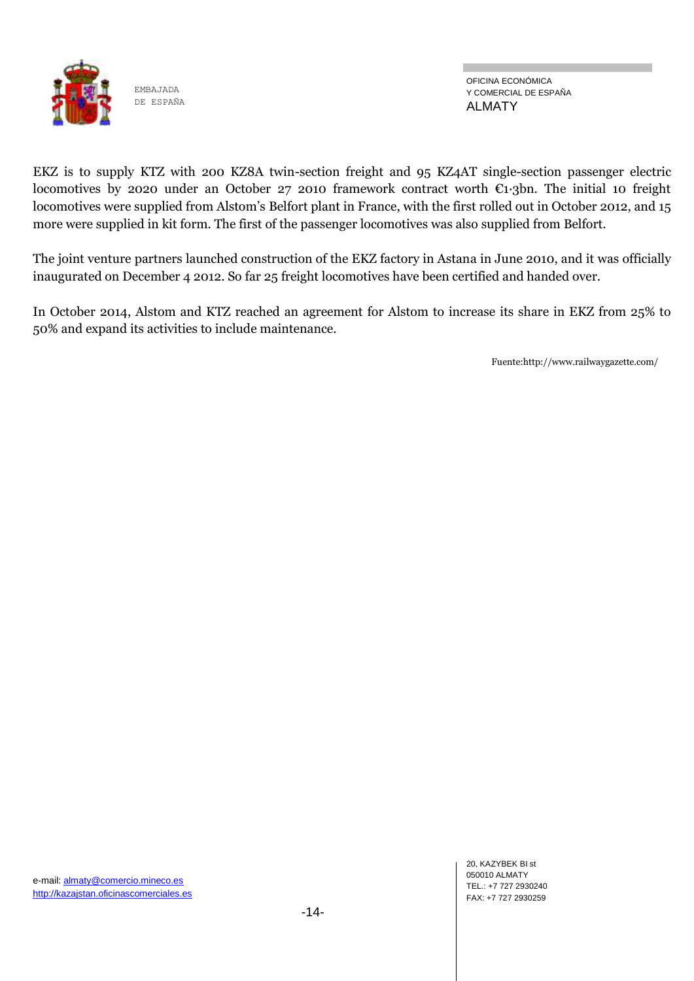

OFICINA ECONÓMICA Y COMERCIAL DE ESPAÑA ALMATY

EKZ is to supply KTZ with 200 KZ8A twin-section freight and 95 KZ4AT single-section passenger electric locomotives by 2020 under an October 27 2010 framework contract worth €1·3bn. The initial 10 freight locomotives were supplied from Alstom's Belfort plant in France, with the first rolled out in October 2012, and 15 more were supplied in kit form. The first of the passenger locomotives was also supplied from Belfort.

The joint venture partners launched construction of the EKZ factory in Astana in June 2010, and it was officially inaugurated on December 4 2012. So far 25 freight locomotives have been certified and handed over.

In October 2014, Alstom and KTZ reached an agreement for Alstom to increase its share in EKZ from 25% to 50% and expand its activities to include maintenance.

Fuente:http://www.railwaygazette.com/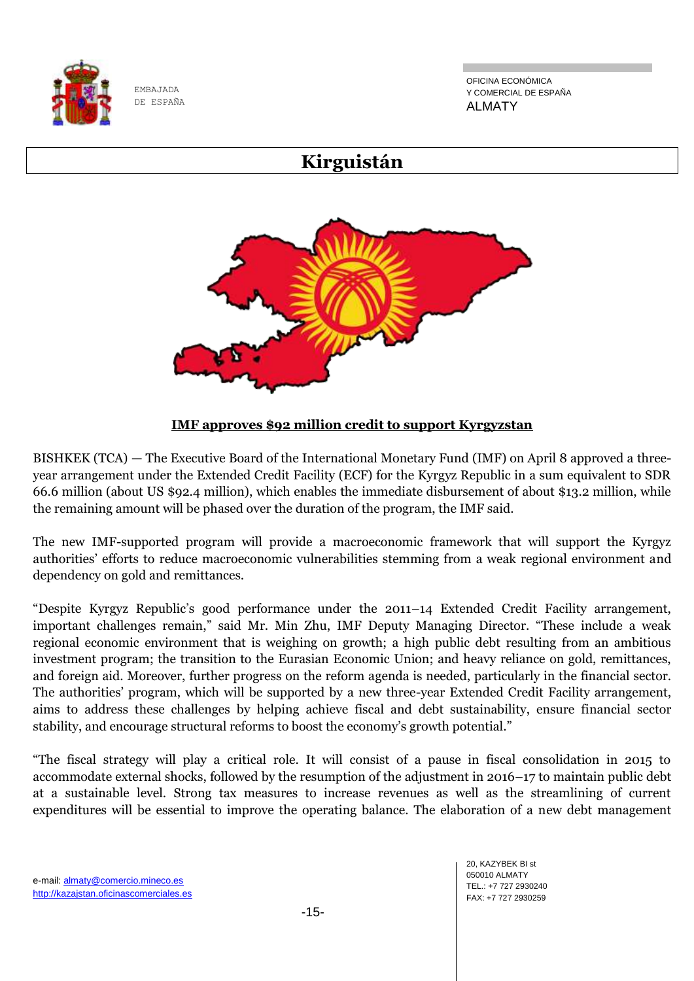

OFICINA ECONÓMICA Y COMERCIAL DE ESPAÑA ALMATY

# **Kirguistán**



**IMF approves \$92 million credit to support Kyrgyzstan**

BISHKEK (TCA) — The Executive Board of the International Monetary Fund (IMF) on April 8 approved a threeyear arrangement under the Extended Credit Facility (ECF) for the Kyrgyz Republic in a sum equivalent to SDR 66.6 million (about US \$92.4 million), which enables the immediate disbursement of about \$13.2 million, while the remaining amount will be phased over the duration of the program, the IMF said.

The new IMF-supported program will provide a macroeconomic framework that will support the Kyrgyz authorities' efforts to reduce macroeconomic vulnerabilities stemming from a weak regional environment and dependency on gold and remittances.

"Despite Kyrgyz Republic's good performance under the 2011–14 Extended Credit Facility arrangement, important challenges remain," said Mr. Min Zhu, IMF Deputy Managing Director. "These include a weak regional economic environment that is weighing on growth; a high public debt resulting from an ambitious investment program; the transition to the Eurasian Economic Union; and heavy reliance on gold, remittances, and foreign aid. Moreover, further progress on the reform agenda is needed, particularly in the financial sector. The authorities' program, which will be supported by a new three-year Extended Credit Facility arrangement, aims to address these challenges by helping achieve fiscal and debt sustainability, ensure financial sector stability, and encourage structural reforms to boost the economy's growth potential."

"The fiscal strategy will play a critical role. It will consist of a pause in fiscal consolidation in 2015 to accommodate external shocks, followed by the resumption of the adjustment in 2016–17 to maintain public debt at a sustainable level. Strong tax measures to increase revenues as well as the streamlining of current expenditures will be essential to improve the operating balance. The elaboration of a new debt management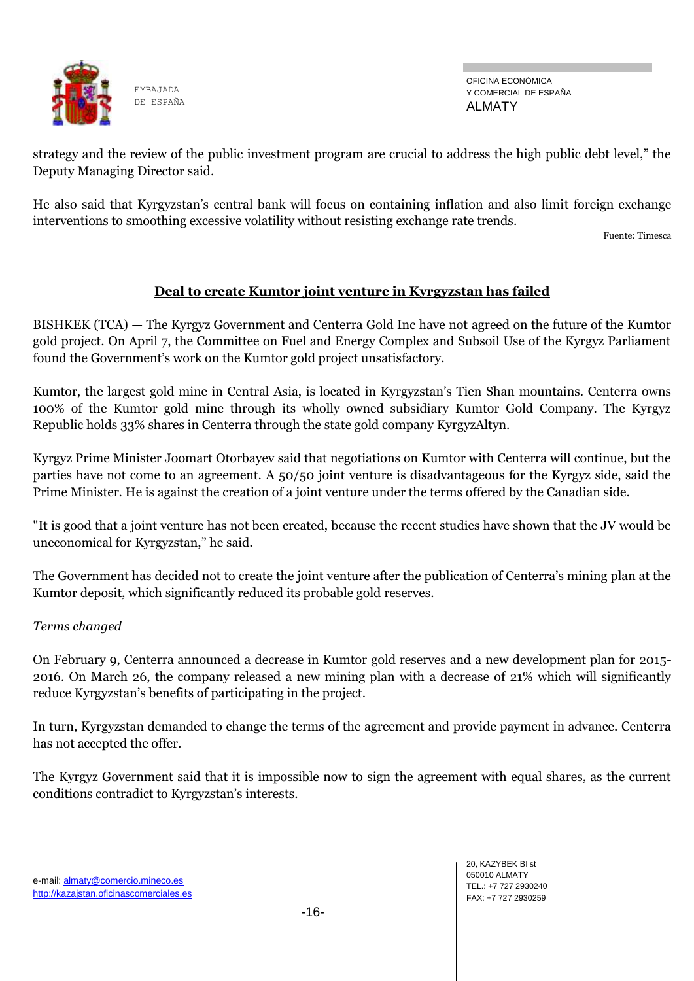

OFICINA ECONÓMICA Y COMERCIAL DE ESPAÑA ALMATY

strategy and the review of the public investment program are crucial to address the high public debt level," the Deputy Managing Director said.

He also said that Kyrgyzstan's central bank will focus on containing inflation and also limit foreign exchange interventions to smoothing excessive volatility without resisting exchange rate trends.

Fuente: Timesca

### **Deal to create Kumtor joint venture in Kyrgyzstan has failed**

BISHKEK (TCA) — The Kyrgyz Government and Centerra Gold Inc have not agreed on the future of the Kumtor gold project. On April 7, the Committee on Fuel and Energy Complex and Subsoil Use of the Kyrgyz Parliament found the Government's work on the Kumtor gold project unsatisfactory.

Kumtor, the largest gold mine in Central Asia, is located in Kyrgyzstan's Tien Shan mountains. Centerra owns 100% of the Kumtor gold mine through its wholly owned subsidiary Kumtor Gold Company. The Kyrgyz Republic holds 33% shares in Centerra through the state gold company KyrgyzAltyn.

Kyrgyz Prime Minister Joomart Otorbayev said that negotiations on Kumtor with Centerra will continue, but the parties have not come to an agreement. A 50/50 joint venture is disadvantageous for the Kyrgyz side, said the Prime Minister. He is against the creation of a joint venture under the terms offered by the Canadian side.

"It is good that a joint venture has not been created, because the recent studies have shown that the JV would be uneconomical for Kyrgyzstan," he said.

The Government has decided not to create the joint venture after the publication of Centerra's mining plan at the Kumtor deposit, which significantly reduced its probable gold reserves.

#### *Terms changed*

On February 9, Centerra announced a decrease in Kumtor gold reserves and a new development plan for 2015- 2016. On March 26, the company released a new mining plan with a decrease of 21% which will significantly reduce Kyrgyzstan's benefits of participating in the project.

In turn, Kyrgyzstan demanded to change the terms of the agreement and provide payment in advance. Centerra has not accepted the offer.

The Kyrgyz Government said that it is impossible now to sign the agreement with equal shares, as the current conditions contradict to Kyrgyzstan's interests.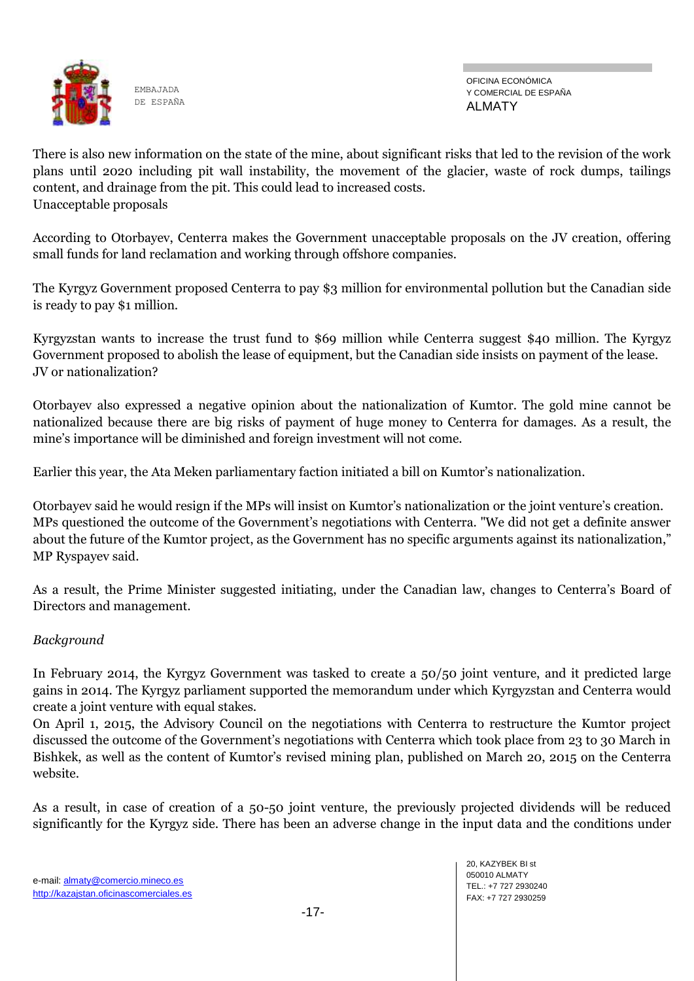

OFICINA ECONÓMICA Y COMERCIAL DE ESPAÑA ALMATY

There is also new information on the state of the mine, about significant risks that led to the revision of the work plans until 2020 including pit wall instability, the movement of the glacier, waste of rock dumps, tailings content, and drainage from the pit. This could lead to increased costs. Unacceptable proposals

According to Otorbayev, Centerra makes the Government unacceptable proposals on the JV creation, offering small funds for land reclamation and working through offshore companies.

The Kyrgyz Government proposed Centerra to pay \$3 million for environmental pollution but the Canadian side is ready to pay \$1 million.

Kyrgyzstan wants to increase the trust fund to \$69 million while Centerra suggest \$40 million. The Kyrgyz Government proposed to abolish the lease of equipment, but the Canadian side insists on payment of the lease. JV or nationalization?

Otorbayev also expressed a negative opinion about the nationalization of Kumtor. The gold mine cannot be nationalized because there are big risks of payment of huge money to Centerra for damages. As a result, the mine's importance will be diminished and foreign investment will not come.

Earlier this year, the Ata Meken parliamentary faction initiated a bill on Kumtor's nationalization.

Otorbayev said he would resign if the MPs will insist on Kumtor's nationalization or the joint venture's creation. MPs questioned the outcome of the Government's negotiations with Centerra. "We did not get a definite answer about the future of the Kumtor project, as the Government has no specific arguments against its nationalization," MP Ryspayev said.

As a result, the Prime Minister suggested initiating, under the Canadian law, changes to Centerra's Board of Directors and management.

### *Background*

In February 2014, the Kyrgyz Government was tasked to create a 50/50 joint venture, and it predicted large gains in 2014. The Kyrgyz parliament supported the memorandum under which Kyrgyzstan and Centerra would create a joint venture with equal stakes.

On April 1, 2015, the Advisory Council on the negotiations with Centerra to restructure the Kumtor project discussed the outcome of the Government's negotiations with Centerra which took place from 23 to 30 March in Bishkek, as well as the content of Kumtor's revised mining plan, published on March 20, 2015 on the Centerra website.

As a result, in case of creation of a 50-50 joint venture, the previously projected dividends will be reduced significantly for the Kyrgyz side. There has been an adverse change in the input data and the conditions under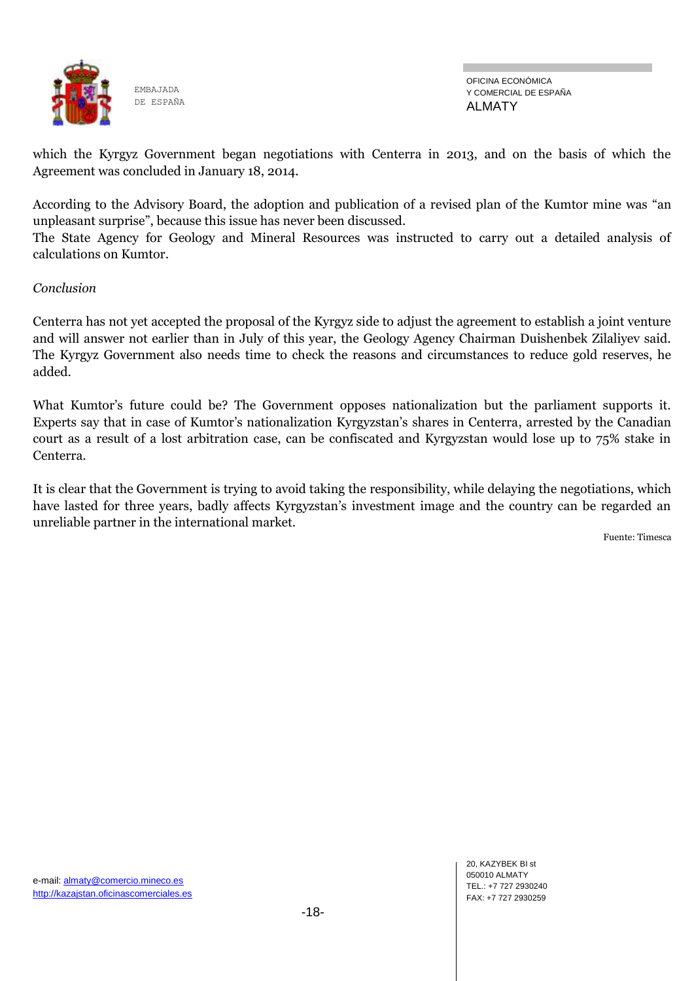

which the Kyrgyz Government began negotiations with Centerra in 2013, and on the basis of which the Agreement was concluded in January 18, 2014.

According to the Advisory Board, the adoption and publication of a revised plan of the Kumtor mine was "an unpleasant surprise", because this issue has never been discussed.

The State Agency for Geology and Mineral Resources was instructed to carry out a detailed analysis of calculations on Kumtor.

### *Conclusion*

Centerra has not yet accepted the proposal of the Kyrgyz side to adjust the agreement to establish a joint venture and will answer not earlier than in July of this year, the Geology Agency Chairman Duishenbek Zilaliyev said. The Kyrgyz Government also needs time to check the reasons and circumstances to reduce gold reserves, he added.

What Kumtor's future could be? The Government opposes nationalization but the parliament supports it. Experts say that in case of Kumtor's nationalization Kyrgyzstan's shares in Centerra, arrested by the Canadian court as a result of a lost arbitration case, can be confiscated and Kyrgyzstan would lose up to 75% stake in Centerra.

It is clear that the Government is trying to avoid taking the responsibility, while delaying the negotiations, which have lasted for three years, badly affects Kyrgyzstan's investment image and the country can be regarded an unreliable partner in the international market.

Fuente: Timesca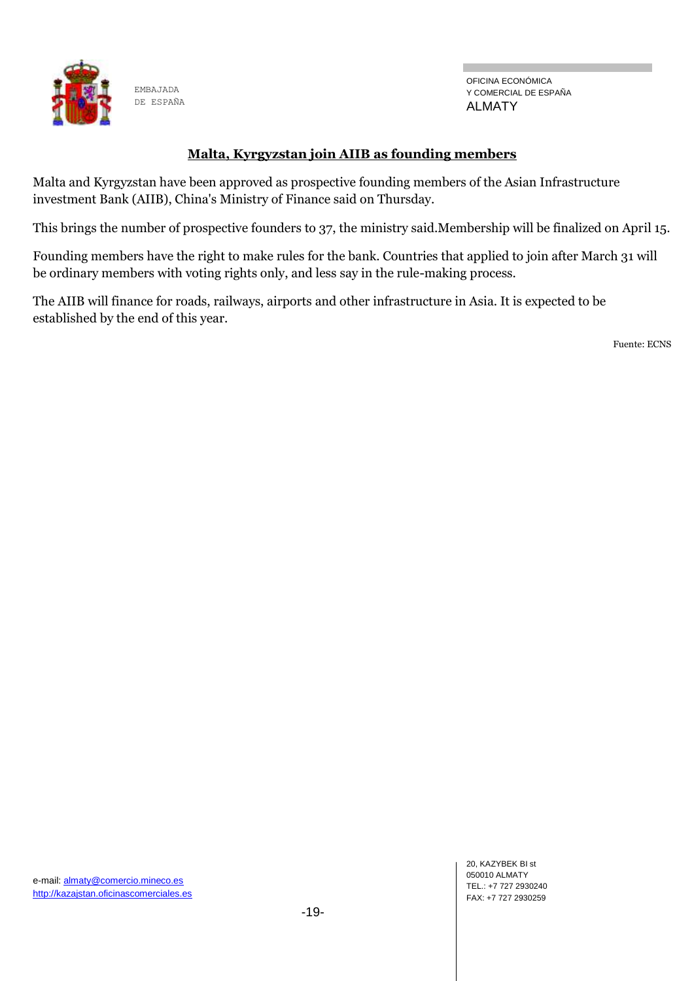

### **Malta, Kyrgyzstan join AIIB as founding members**

Malta and Kyrgyzstan have been approved as prospective founding members of the Asian Infrastructure investment Bank (AIIB), China's Ministry of Finance said on Thursday.

This brings the number of prospective founders to 37, the ministry said.Membership will be finalized on April 15.

Founding members have the right to make rules for the bank. Countries that applied to join after March 31 will be ordinary members with voting rights only, and less say in the rule-making process.

The AIIB will finance for roads, railways, airports and other infrastructure in Asia. It is expected to be established by the end of this year.

Fuente: ECNS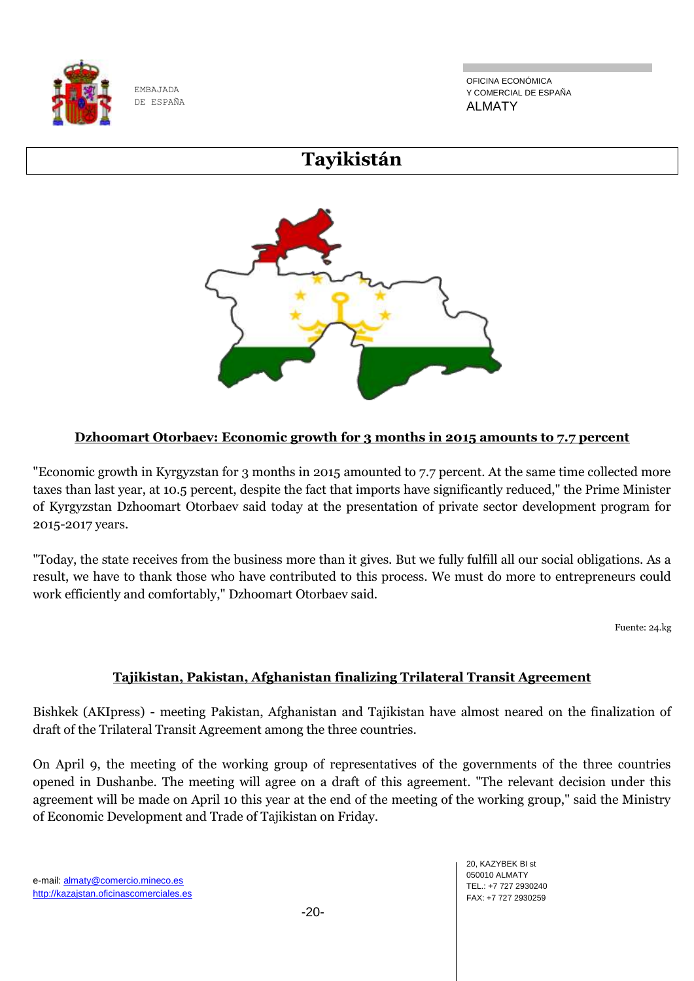

OFICINA ECONÓMICA Y COMERCIAL DE ESPAÑA ALMATY

# **Tayikistán**



# **Dzhoomart Otorbaev: Economic growth for 3 months in 2015 amounts to 7.7 percent**

"Economic growth in Kyrgyzstan for 3 months in 2015 amounted to 7.7 percent. At the same time collected more taxes than last year, at 10.5 percent, despite the fact that imports have significantly reduced," the Prime Minister of Kyrgyzstan Dzhoomart Otorbaev said today at the presentation of private sector development program for 2015-2017 years.

"Today, the state receives from the business more than it gives. But we fully fulfill all our social obligations. As a result, we have to thank those who have contributed to this process. We must do more to entrepreneurs could work efficiently and comfortably," Dzhoomart Otorbaev said.

Fuente: 24.kg

# **Tajikistan, Pakistan, Afghanistan finalizing Trilateral Transit Agreement**

Bishkek (AKIpress) - meeting Pakistan, Afghanistan and Tajikistan have almost neared on the finalization of draft of the Trilateral Transit Agreement among the three countries.

On April 9, the meeting of the working group of representatives of the governments of the three countries opened in Dushanbe. The meeting will agree on a draft of this agreement. "The relevant decision under this agreement will be made on April 10 this year at the end of the meeting of the working group," said the Ministry of Economic Development and Trade of Tajikistan on Friday.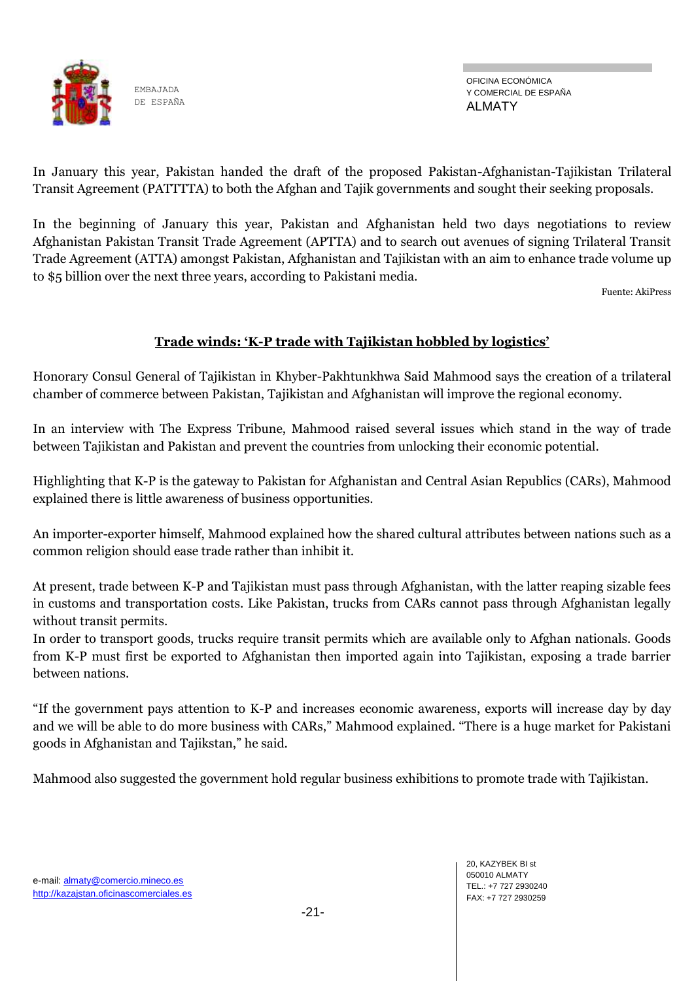

OFICINA ECONÓMICA Y COMERCIAL DE ESPAÑA ALMATY

In January this year, Pakistan handed the draft of the proposed Pakistan-Afghanistan-Tajikistan Trilateral Transit Agreement (PATTTTA) to both the Afghan and Tajik governments and sought their seeking proposals.

In the beginning of January this year, Pakistan and Afghanistan held two days negotiations to review Afghanistan Pakistan Transit Trade Agreement (APTTA) and to search out avenues of signing Trilateral Transit Trade Agreement (ATTA) amongst Pakistan, Afghanistan and Tajikistan with an aim to enhance trade volume up to \$5 billion over the next three years, according to Pakistani media.

Fuente: AkiPress

## **Trade winds: 'K-P trade with Tajikistan hobbled by logistics'**

Honorary Consul General of Tajikistan in Khyber-Pakhtunkhwa Said Mahmood says the creation of a trilateral chamber of commerce between Pakistan, Tajikistan and Afghanistan will improve the regional economy.

In an interview with The Express Tribune, Mahmood raised several issues which stand in the way of trade between Tajikistan and Pakistan and prevent the countries from unlocking their economic potential.

Highlighting that K-P is the gateway to Pakistan for Afghanistan and Central Asian Republics (CARs), Mahmood explained there is little awareness of business opportunities.

An importer-exporter himself, Mahmood explained how the shared cultural attributes between nations such as a common religion should ease trade rather than inhibit it.

At present, trade between K-P and Tajikistan must pass through Afghanistan, with the latter reaping sizable fees in customs and transportation costs. Like Pakistan, trucks from CARs cannot pass through Afghanistan legally without transit permits.

In order to transport goods, trucks require transit permits which are available only to Afghan nationals. Goods from K-P must first be exported to Afghanistan then imported again into Tajikistan, exposing a trade barrier between nations.

"If the government pays attention to K-P and increases economic awareness, exports will increase day by day and we will be able to do more business with CARs," Mahmood explained. "There is a huge market for Pakistani goods in Afghanistan and Tajikstan," he said.

Mahmood also suggested the government hold regular business exhibitions to promote trade with Tajikistan.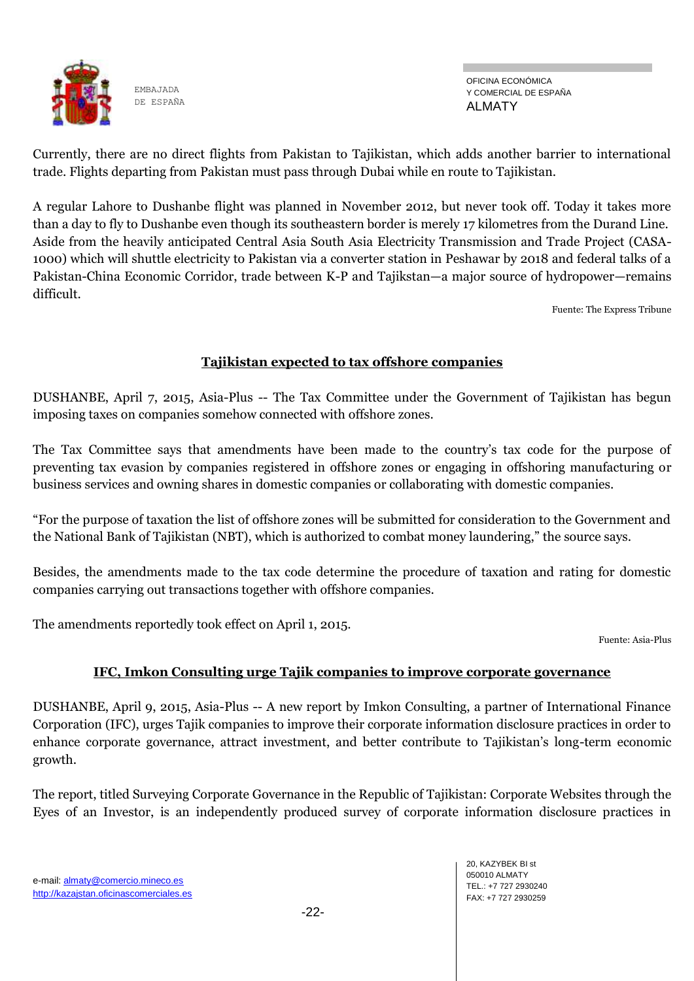

OFICINA ECONÓMICA Y COMERCIAL DE ESPAÑA ALMATY

Currently, there are no direct flights from Pakistan to Tajikistan, which adds another barrier to international trade. Flights departing from Pakistan must pass through Dubai while en route to Tajikistan.

A regular Lahore to Dushanbe flight was planned in November 2012, but never took off. Today it takes more than a day to fly to Dushanbe even though its southeastern border is merely 17 kilometres from the Durand Line. Aside from the heavily anticipated Central Asia South Asia Electricity Transmission and Trade Project (CASA-1000) which will shuttle electricity to Pakistan via a converter station in Peshawar by 2018 and federal talks of a Pakistan-China Economic Corridor, trade between K-P and Tajikstan—a major source of hydropower—remains difficult.

Fuente: The Express Tribune

# **Tajikistan expected to tax offshore companies**

DUSHANBE, April 7, 2015, Asia-Plus -- The Tax Committee under the Government of Tajikistan has begun imposing taxes on companies somehow connected with offshore zones.

The Tax Committee says that amendments have been made to the country's tax code for the purpose of preventing tax evasion by companies registered in offshore zones or engaging in offshoring manufacturing or business services and owning shares in domestic companies or collaborating with domestic companies.

"For the purpose of taxation the list of offshore zones will be submitted for consideration to the Government and the National Bank of Tajikistan (NBT), which is authorized to combat money laundering," the source says.

Besides, the amendments made to the tax code determine the procedure of taxation and rating for domestic companies carrying out transactions together with offshore companies.

The amendments reportedly took effect on April 1, 2015.

Fuente: Asia-Plus

# **IFC, Imkon Consulting urge Tajik companies to improve corporate governance**

DUSHANBE, April 9, 2015, Asia-Plus -- A new report by Imkon Consulting, a partner of International Finance Corporation (IFC), urges Tajik companies to improve their corporate information disclosure practices in order to enhance corporate governance, attract investment, and better contribute to Tajikistan's long-term economic growth.

The report, titled Surveying Corporate Governance in the Republic of Tajikistan: Corporate Websites through the Eyes of an Investor, is an independently produced survey of corporate information disclosure practices in